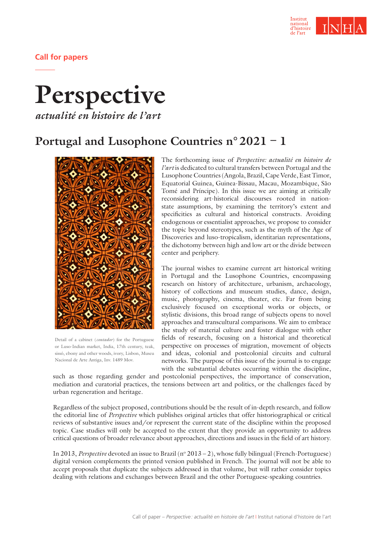

**Call for papers**

## **Perspective** *actualité en histoire de l'art*

**Portugal and Lusophone Countries n°2021 – 1**



Detail of a cabinet (*contador*) for the Portuguese or Luso-Indian market, India, 17th century, teak, sissó, ebony and other woods, ivory, Lisbon, Museu-Nacional de Arte Antiga, Inv. 1489 Mov.

The forthcoming issue of *Perspective: actualité en histoire de l'art* is dedicated to cultural transfers between Portugal and the Lusophone Countries (Angola, Brazil, Cape Verde, East Timor, Equatorial Guinea, Guinea-Bissau, Macau, Mozambique, São Tomé and Príncipe). In this issue we are aiming at critically reconsidering art-historical discourses rooted in nationstate assumptions, by examining the territory's extent and specificities as cultural and historical constructs. Avoiding endogenous or essentialist approaches, we propose to consider the topic beyond stereotypes, such as the myth of the Age of Discoveries and luso-tropicalism, identitarian representations, the dichotomy between high and low art or the divide between center and periphery.

The journal wishes to examine current art historical writing in Portugal and the Lusophone Countries, encompassing research on history of architecture, urbanism, archaeology, history of collections and museum studies, dance, design, music, photography, cinema, theater, etc. Far from being exclusively focused on exceptional works or objects, or stylistic divisions, this broad range of subjects opens to novel approaches and transcultural comparisons. We aim to embrace the study of material culture and foster dialogue with other fields of research, focusing on a historical and theoretical perspective on processes of migration, movement of objects and ideas, colonial and postcolonial circuits and cultural networks. The purpose of this issue of the journal is to engage with the substantial debates occurring within the discipline,

such as those regarding gender and postcolonial perspectives, the importance of conservation, mediation and curatorial practices, the tensions between art and politics, or the challenges faced by urban regeneration and heritage.

Regardless of the subject proposed, contributions should be the result of in-depth research, and follow the editorial line of *Perspective* which publishes original articles that offer historiographical or critical reviews of substantive issues and/or represent the current state of the discipline within the proposed topic. Case studies will only be accepted to the extent that they provide an opportunity to address critical questions of broader relevance about approaches, directions and issues in the field of art history.

In 2013, *Perspective* devoted an issue to Brazil (n° 2013 – 2), whose fully bilingual (French-Portuguese) digital version complements the printed version published in French. The journal will not be able to accept proposals that duplicate the subjects addressed in that volume, but will rather consider topics dealing with relations and exchanges between Brazil and the other Portuguese-speaking countries.